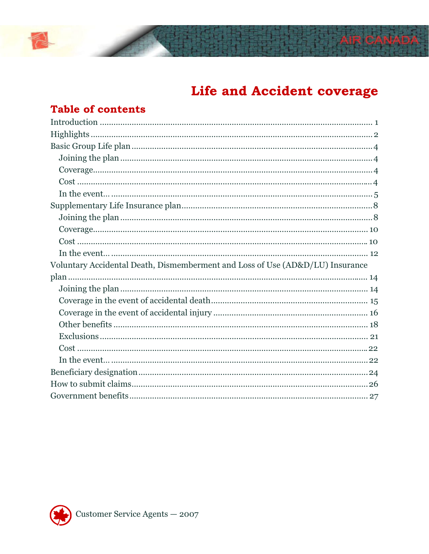# Life and Accident coverage

## **Table of contents**

| Voluntary Accidental Death, Dismemberment and Loss of Use (AD&D/LU) Insurance |
|-------------------------------------------------------------------------------|
|                                                                               |
|                                                                               |
|                                                                               |
|                                                                               |
|                                                                               |
|                                                                               |
|                                                                               |
|                                                                               |
|                                                                               |
|                                                                               |
|                                                                               |

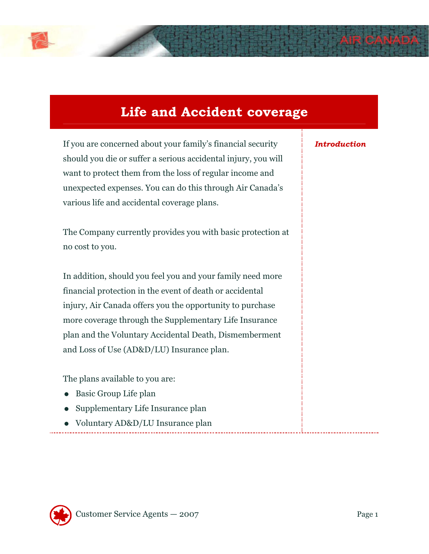

# **Life and Accident coverage**

If you are concerned about your family's financial security should you die or suffer a serious accidental injury, you will want to protect them from the loss of regular income and unexpected expenses. You can do this through Air Canada's various life and accidental coverage plans.

The Company currently provides you with basic protection at no cost to you.

In addition, should you feel you and your family need more financial protection in the event of death or accidental injury, Air Canada offers you the opportunity to purchase more coverage through the Supplementary Life Insurance plan and the Voluntary Accidental Death, Dismemberment and Loss of Use (AD&D/LU) Insurance plan.

The plans available to you are:

- Basic Group Life plan
- Supplementary Life Insurance plan
- Voluntary AD&D/LU Insurance plan

### *Introduction*

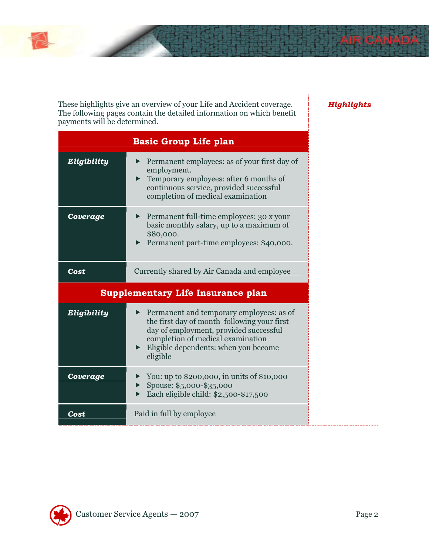

These highlights give an overview of your Life and Accident coverage. The following pages contain the detailed information on which benefit payments will be determined.

|                                          | <b>Basic Group Life plan</b>                                                                                                                                                                                               |  |
|------------------------------------------|----------------------------------------------------------------------------------------------------------------------------------------------------------------------------------------------------------------------------|--|
| Eligibility                              | Permanent employees: as of your first day of<br>employment.<br>Temporary employees: after 6 months of<br>continuous service, provided successful<br>completion of medical examination                                      |  |
| Coverage                                 | Permanent full-time employees: 30 x your<br>basic monthly salary, up to a maximum of<br>\$80,000.<br>Permanent part-time employees: \$40,000.                                                                              |  |
| Cost                                     | Currently shared by Air Canada and employee                                                                                                                                                                                |  |
| <b>Supplementary Life Insurance plan</b> |                                                                                                                                                                                                                            |  |
| Eligibility                              | Permanent and temporary employees: as of<br>the first day of month following your first<br>day of employment, provided successful<br>completion of medical examination<br>Eligible dependents: when you become<br>eligible |  |
| Coverage                                 | You: up to \$200,000, in units of \$10,000<br>Spouse: \$5,000-\$35,000<br>Each eligible child: \$2,500-\$17,500                                                                                                            |  |
|                                          |                                                                                                                                                                                                                            |  |

### *Highlights*

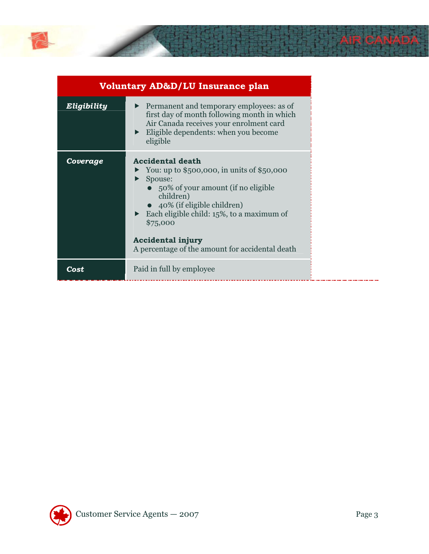

|             | <b>Voluntary AD&amp;D/LU Insurance plan</b>                                                                                                                                                                                                                                                                                                   |
|-------------|-----------------------------------------------------------------------------------------------------------------------------------------------------------------------------------------------------------------------------------------------------------------------------------------------------------------------------------------------|
| Eligibility | ▶ Permanent and temporary employees: as of<br>first day of month following month in which<br>Air Canada receives your enrolment card<br>$\blacktriangleright$ Eligible dependents: when you become<br>eligible                                                                                                                                |
| Coverage    | <b>Accidental death</b><br>$\triangleright$ You: up to \$500,000, in units of \$50,000<br>Spouse:<br>• $50\%$ of your amount (if no eligible<br>children)<br>$\bullet$ 40% (if eligible children)<br>Each eligible child: $15\%$ , to a maximum of<br>\$75,000<br><b>Accidental injury</b><br>A percentage of the amount for accidental death |
| Cost        | Paid in full by employee                                                                                                                                                                                                                                                                                                                      |

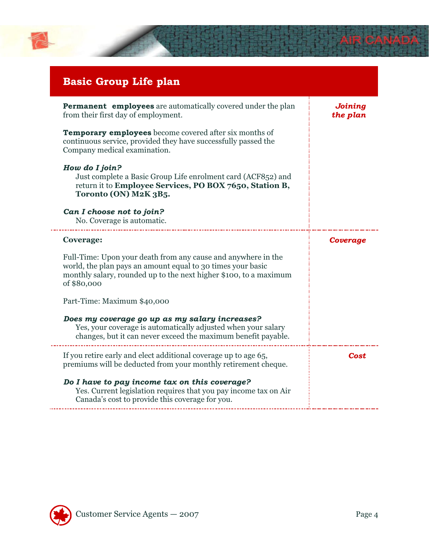

| <b>Basic Group Life plan</b>                                                                                                                                                                                     |                     |
|------------------------------------------------------------------------------------------------------------------------------------------------------------------------------------------------------------------|---------------------|
| <b>Permanent employees</b> are automatically covered under the plan<br>from their first day of employment.                                                                                                       | Joining<br>the plan |
| <b>Temporary employees</b> become covered after six months of<br>continuous service, provided they have successfully passed the<br>Company medical examination.                                                  |                     |
| How do I join?<br>Just complete a Basic Group Life enrolment card (ACF852) and<br>return it to Employee Services, PO BOX 7650, Station B,<br>Toronto (ON) M2K 3B5.                                               |                     |
| Can I choose not to join?<br>No. Coverage is automatic.                                                                                                                                                          |                     |
| <b>Coverage:</b>                                                                                                                                                                                                 | Coverage            |
| Full-Time: Upon your death from any cause and anywhere in the<br>world, the plan pays an amount equal to 30 times your basic<br>monthly salary, rounded up to the next higher \$100, to a maximum<br>of \$80,000 |                     |
| Part-Time: Maximum \$40,000                                                                                                                                                                                      |                     |
| Does my coverage go up as my salary increases?<br>Yes, your coverage is automatically adjusted when your salary<br>changes, but it can never exceed the maximum benefit payable.                                 |                     |
| If you retire early and elect additional coverage up to age 65,<br>premiums will be deducted from your monthly retirement cheque.                                                                                | Cost                |
| Do I have to pay income tax on this coverage?<br>Yes. Current legislation requires that you pay income tax on Air<br>Canada's cost to provide this coverage for you.                                             |                     |

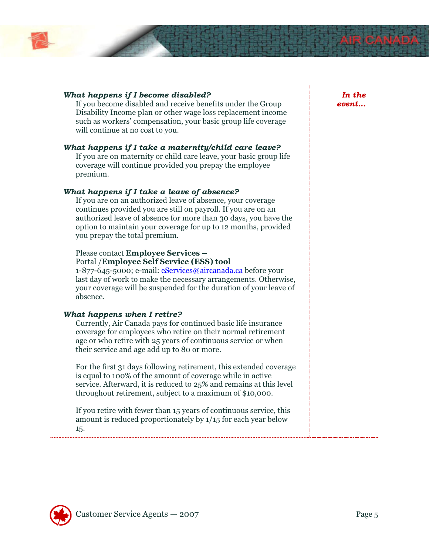

### *What happens if I become disabled?*

If you become disabled and receive benefits under the Group Disability Income plan or other wage loss replacement income such as workers' compensation, your basic group life coverage will continue at no cost to you.

#### *What happens if I take a maternity/child care leave?*

If you are on maternity or child care leave, your basic group life coverage will continue provided you prepay the employee premium.

### *What happens if I take a leave of absence?*

If you are on an authorized leave of absence, your coverage continues provided you are still on payroll. If you are on an authorized leave of absence for more than 30 days, you have the option to maintain your coverage for up to 12 months, provided you prepay the total premium.

### Please contact **Employee Services –**

Portal /**Employee Self Service (ESS) tool** 

1-877-645-5000; e-mail: *eServices@aircanada.ca* before your last day of work to make the necessary arrangements. Otherwise, your coverage will be suspended for the duration of your leave of absence.

#### *What happens when I retire?*

Currently, Air Canada pays for continued basic life insurance coverage for employees who retire on their normal retirement age or who retire with 25 years of continuous service or when their service and age add up to 80 or more.

For the first 31 days following retirement, this extended coverage is equal to 100% of the amount of coverage while in active service. Afterward, it is reduced to 25% and remains at this level throughout retirement, subject to a maximum of \$10,000.

If you retire with fewer than 15 years of continuous service, this amount is reduced proportionately by 1/15 for each year below 15.

*In the event…* 

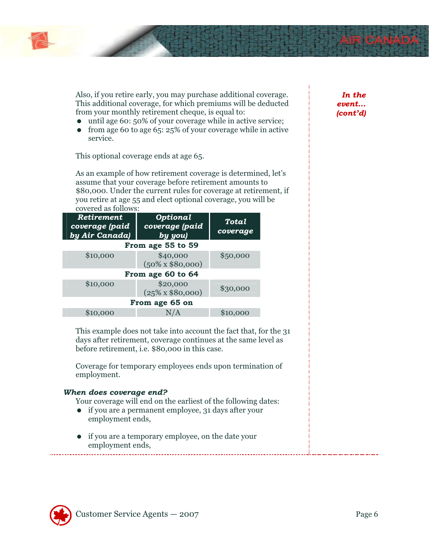

Also, if you retire early, you may purchase additional coverage. This additional coverage, for which premiums will be deducted from your monthly retirement cheque, is equal to:

- until age 60: 50% of your coverage while in active service;
- from age 60 to age 65: 25% of your coverage while in active service.

This optional coverage ends at age 65.

As an example of how retirement coverage is determined, let's assume that your coverage before retirement amounts to \$80,000. Under the current rules for coverage at retirement, if you retire at age 55 and elect optional coverage, you will be covered as follows:

| Retirement<br>coverage (paid<br>by Air Canada) | Optional<br>coverage (paid<br>by you) | Total<br>coverage |
|------------------------------------------------|---------------------------------------|-------------------|
|                                                | From age 55 to 59                     |                   |
| \$10,000                                       | \$40,000<br>$(50\% \times \$80,000)$  | \$50,000          |
|                                                | From age 60 to 64                     |                   |
| \$10,000                                       | \$20,000<br>$(25\% \times \$80,000)$  | \$30,000          |
|                                                | From age 65 on                        |                   |
| \$10,000                                       |                                       | \$10,000          |

This example does not take into account the fact that, for the 31 days after retirement, coverage continues at the same level as before retirement, i.e. \$80,000 in this case.

Coverage for temporary employees ends upon termination of employment.

### *When does coverage end?*

- Your coverage will end on the earliest of the following dates:
- if you are a permanent employee, 31 days after your employment ends,
- if you are a temporary employee, on the date your employment ends,

*In the event… (cont'd)* 

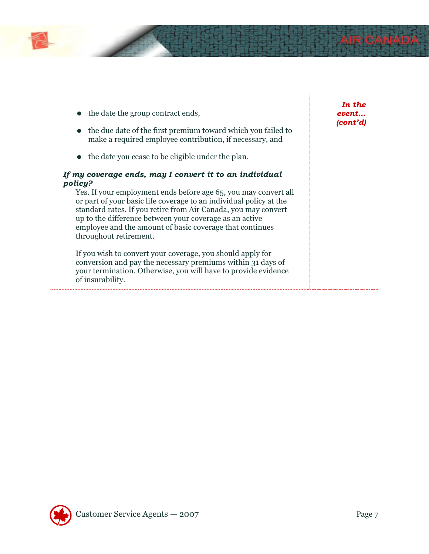

- $\bullet$  the date the group contract ends,
- the due date of the first premium toward which you failed to make a required employee contribution, if necessary, and
- the date you cease to be eligible under the plan.

### *If my coverage ends, may I convert it to an individual policy?*

Yes. If your employment ends before age 65, you may convert all or part of your basic life coverage to an individual policy at the standard rates. If you retire from Air Canada, you may convert up to the difference between your coverage as an active employee and the amount of basic coverage that continues throughout retirement.

If you wish to convert your coverage, you should apply for conversion and pay the necessary premiums within 31 days of your termination. Otherwise, you will have to provide evidence of insurability.

*In the event… (cont'd)* 

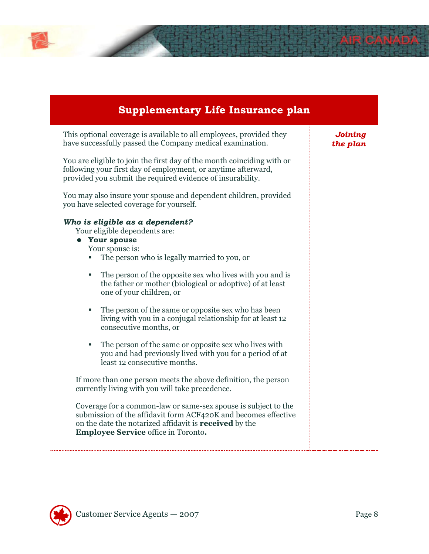

This optional coverage is available to all employees, provided they have successfully passed the Company medical examination.

You are eligible to join the first day of the month coinciding with or following your first day of employment, or anytime afterward, provided you submit the required evidence of insurability.

You may also insure your spouse and dependent children, provided you have selected coverage for yourself.

### *Who is eligible as a dependent?*

Your eligible dependents are:

### **Your spouse**

Your spouse is:

- The person who is legally married to you, or
- The person of the opposite sex who lives with you and is the father or mother (biological or adoptive) of at least one of your children, or
- The person of the same or opposite sex who has been living with you in a conjugal relationship for at least 12 consecutive months, or
- The person of the same or opposite sex who lives with you and had previously lived with you for a period of at least 12 consecutive months.

If more than one person meets the above definition, the person currently living with you will take precedence.

Coverage for a common-law or same-sex spouse is subject to the submission of the affidavit form ACF420K and becomes effective on the date the notarized affidavit is **received** by the **Employee Service** office in Toronto**.**

*Joining the plan* 

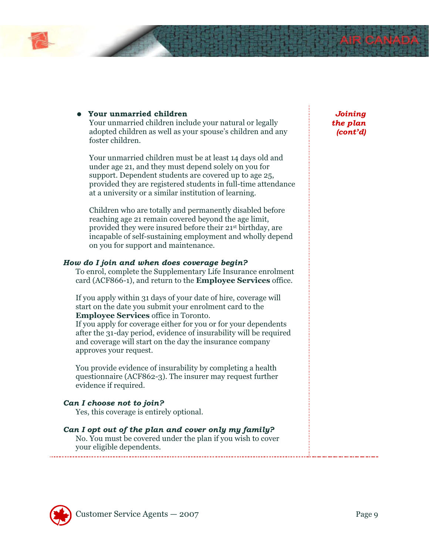

### **Your unmarried children**

Your unmarried children include your natural or legally adopted children as well as your spouse's children and any foster children.

Your unmarried children must be at least 14 days old and under age 21, and they must depend solely on you for support. Dependent students are covered up to age 25, provided they are registered students in full-time attendance at a university or a similar institution of learning.

Children who are totally and permanently disabled before reaching age 21 remain covered beyond the age limit, provided they were insured before their 21st birthday, are incapable of self-sustaining employment and wholly depend on you for support and maintenance.

### *How do I join and when does coverage begin?*

To enrol, complete the Supplementary Life Insurance enrolment card (ACF866-1), and return to the **Employee Services** office.

If you apply within 31 days of your date of hire, coverage will start on the date you submit your enrolment card to the **Employee Services** office in Toronto.

If you apply for coverage either for you or for your dependents after the 31-day period, evidence of insurability will be required and coverage will start on the day the insurance company approves your request.

You provide evidence of insurability by completing a health questionnaire (ACF862-3). The insurer may request further evidence if required.

### *Can I choose not to join?*

Yes, this coverage is entirely optional.

### *Can I opt out of the plan and cover only my family?*

No. You must be covered under the plan if you wish to cover your eligible dependents.

*Joining the plan (cont'd)* 

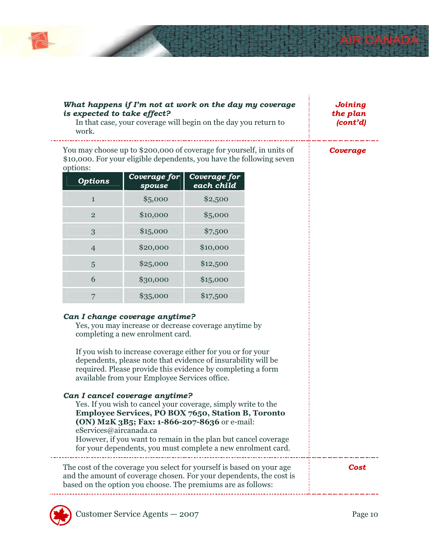

### *What happens if I'm not at work on the day my coverage is expected to take effect?*

In that case, your coverage will begin on the day you return to work.

*Joining the plan (cont'd)* 

You may choose up to \$200,000 of coverage for yourself, in units of \$10,000. For your eligible dependents, you have the following seven options:

| <b>Options</b> | Coverage for<br>spouse | Coverage for<br>each child |
|----------------|------------------------|----------------------------|
| $\mathbf{1}$   | \$5,000                | \$2,500                    |
| $\overline{2}$ | \$10,000               | \$5,000                    |
| 3              | \$15,000               | \$7,500                    |
| 4              | \$20,000               | \$10,000                   |
| 5              | \$25,000               | \$12,500                   |
| 6              | \$30,000               | \$15,000                   |
|                | \$35,000               | \$17,500                   |

### *Can I change coverage anytime?*

Yes, you may increase or decrease coverage anytime by completing a new enrolment card.

If you wish to increase coverage either for you or for your dependents, please note that evidence of insurability will be required. Please provide this evidence by completing a form available from your Employee Services office.

### *Can I cancel coverage anytime?*  Yes. If you wish to cancel your coverage, simply write to the **Employee Services, PO BOX 7650, Station B, Toronto (ON) M2K 3B5; Fax: 1-866-207-8636** or e-mail: eServices@aircanada.ca However, if you want to remain in the plan but cancel coverage for your dependents, you must complete a new enrolment card. The cost of the coverage you select for yourself is based on your age and the amount of coverage chosen. For your dependents, the cost is based on the option you choose. The premiums are as follows: *Cost*



*Coverage*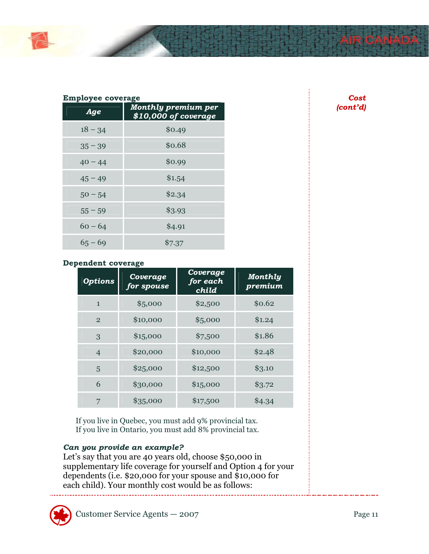

### **Employee coverage**

| Age       | <b>Monthly premium per</b><br>\$10,000 of coverage |
|-----------|----------------------------------------------------|
| $18 - 34$ | \$0.49                                             |
| $35 - 39$ | \$0.68                                             |
| $40 - 44$ | \$0.99                                             |
| $45 - 49$ | \$1.54                                             |
| $50 - 54$ | \$2.34                                             |
| $55 - 59$ | \$3.93                                             |
| $60 - 64$ | \$4.91                                             |
| $65 - 69$ | \$7.37                                             |

### **Dependent coverage**

| <b>Options</b> | Coverage<br>for spouse | Coverage<br>for each<br>child | Monthly<br>premium |
|----------------|------------------------|-------------------------------|--------------------|
| $\mathbf{1}$   | \$5,000                | \$2,500                       | \$0.62             |
| $\overline{2}$ | \$10,000               | \$5,000                       | \$1.24             |
| 3              | \$15,000               | \$7,500                       | \$1.86             |
| $\overline{4}$ | \$20,000               | \$10,000                      | \$2.48             |
| 5              | \$25,000               | \$12,500                      | \$3.10             |
| 6              | \$30,000               | \$15,000                      | \$3.72             |
| 7              | \$35,000               | \$17,500                      | \$4.34             |

If you live in Quebec, you must add 9% provincial tax. If you live in Ontario, you must add 8% provincial tax.

### *Can you provide an example?*

Let's say that you are 40 years old, choose \$50,000 in supplementary life coverage for yourself and Option 4 for your dependents (i.e. \$20,000 for your spouse and \$10,000 for each child). Your monthly cost would be as follows:



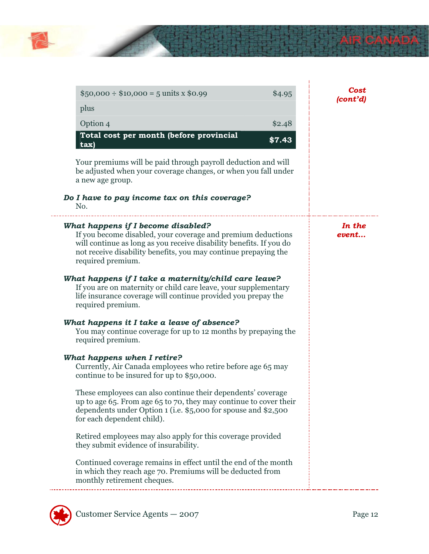

| $$50,000 \div $10,000 = 5 \text{ units} \times $0.99$                                                                                                                                                                                                             | \$4.95 | Cost<br>(cont'd) |
|-------------------------------------------------------------------------------------------------------------------------------------------------------------------------------------------------------------------------------------------------------------------|--------|------------------|
| plus                                                                                                                                                                                                                                                              |        |                  |
| Option 4                                                                                                                                                                                                                                                          | \$2.48 |                  |
| Total cost per month (before provincial<br>tax)                                                                                                                                                                                                                   | \$7.43 |                  |
| Your premiums will be paid through payroll deduction and will<br>be adjusted when your coverage changes, or when you fall under<br>a new age group.                                                                                                               |        |                  |
| Do I have to pay income tax on this coverage?<br>No.                                                                                                                                                                                                              |        |                  |
| What happens if I become disabled?<br>If you become disabled, your coverage and premium deductions<br>will continue as long as you receive disability benefits. If you do<br>not receive disability benefits, you may continue prepaying the<br>required premium. |        | In the<br>event  |
| What happens if I take a maternity/child care leave?<br>If you are on maternity or child care leave, your supplementary<br>life insurance coverage will continue provided you prepay the<br>required premium.                                                     |        |                  |
| What happens it I take a leave of absence?<br>You may continue coverage for up to 12 months by prepaying the<br>required premium.                                                                                                                                 |        |                  |
| What happens when I retire?<br>Currently, Air Canada employees who retire before age 65 may<br>continue to be insured for up to \$50,000.                                                                                                                         |        |                  |
| These employees can also continue their dependents' coverage<br>up to age 65. From age 65 to 70, they may continue to cover their<br>dependents under Option 1 (i.e. \$5,000 for spouse and \$2,500<br>for each dependent child).                                 |        |                  |
| Retired employees may also apply for this coverage provided<br>they submit evidence of insurability.                                                                                                                                                              |        |                  |
| Continued coverage remains in effect until the end of the month<br>in which they reach age 70. Premiums will be deducted from<br>monthly retirement cheques.                                                                                                      |        |                  |

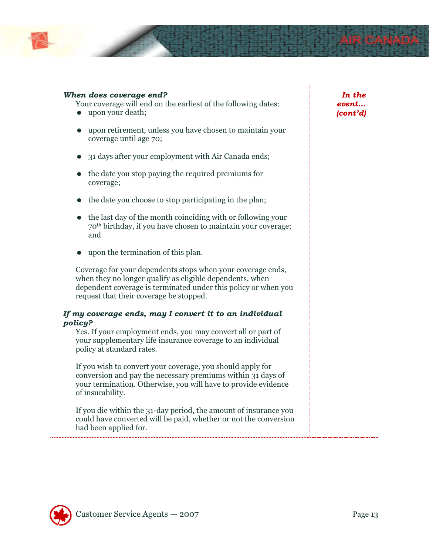

### *When does coverage end?*

Your coverage will end on the earliest of the following dates:

- upon your death;
- upon retirement, unless you have chosen to maintain your coverage until age 70;
- 31 days after your employment with Air Canada ends;
- the date you stop paying the required premiums for coverage;
- $\bullet$  the date you choose to stop participating in the plan;
- the last day of the month coinciding with or following your 70th birthday, if you have chosen to maintain your coverage; and
- upon the termination of this plan.

Coverage for your dependents stops when your coverage ends, when they no longer qualify as eligible dependents, when dependent coverage is terminated under this policy or when you request that their coverage be stopped.

### *If my coverage ends, may I convert it to an individual policy?*

Yes. If your employment ends, you may convert all or part of your supplementary life insurance coverage to an individual policy at standard rates.

If you wish to convert your coverage, you should apply for conversion and pay the necessary premiums within 31 days of your termination. Otherwise, you will have to provide evidence of insurability.

If you die within the 31-day period, the amount of insurance you could have converted will be paid, whether or not the conversion had been applied for.

*In the event… (cont'd)* 

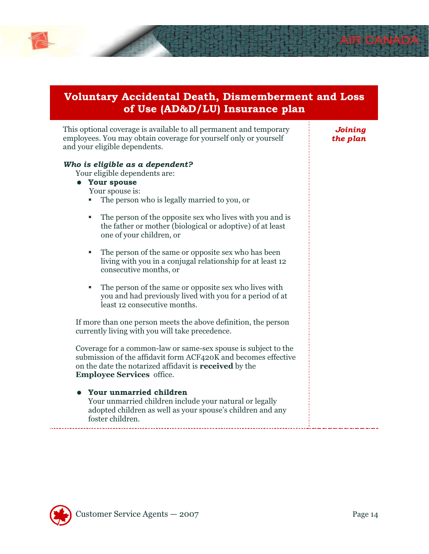

### **Voluntary Accidental Death, Dismemberment and Loss of Use (AD&D/LU) Insurance plan**

This optional coverage is available to all permanent and temporary employees. You may obtain coverage for yourself only or yourself and your eligible dependents.

### *Who is eligible as a dependent?*

Your eligible dependents are:

- **Your spouse** 
	- Your spouse is:
	- The person who is legally married to you, or
	- The person of the opposite sex who lives with you and is the father or mother (biological or adoptive) of at least one of your children, or
	- The person of the same or opposite sex who has been living with you in a conjugal relationship for at least 12 consecutive months, or
	- The person of the same or opposite sex who lives with you and had previously lived with you for a period of at least 12 consecutive months.

If more than one person meets the above definition, the person currently living with you will take precedence.

Coverage for a common-law or same-sex spouse is subject to the submission of the affidavit form ACF420K and becomes effective on the date the notarized affidavit is **received** by the **Employee Services** office.

### **Your unmarried children**  Your unmarried children include your natural or legally adopted children as well as your spouse's children and any foster children.

*Joining the plan* 

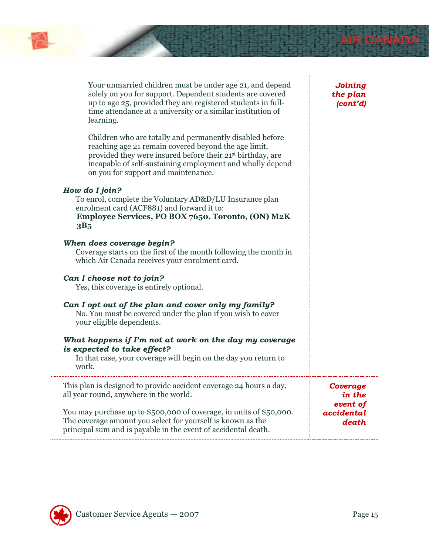

| Your unmarried children must be under age 21, and depend<br>solely on you for support. Dependent students are covered<br>up to age 25, provided they are registered students in full- |
|---------------------------------------------------------------------------------------------------------------------------------------------------------------------------------------|
| time attendance at a university or a similar institution of<br>learning.                                                                                                              |
| Children who are totally and permanently disabled before                                                                                                                              |

reaching age 21 remain covered beyond the age limit, provided they were insured before their 21st birthday, are incapable of self-sustaining employment and wholly depend on you for support and maintenance.

### *How do I join?*

To enrol, complete the Voluntary AD&D/LU Insurance plan enrolment card (ACF881) and forward it to: **Employee Services, PO BOX 7650, Toronto, (ON) M2K 3B5**

### *When does coverage begin?*

Coverage starts on the first of the month following the month in which Air Canada receives your enrolment card.

### *Can I choose not to join?*

Yes, this coverage is entirely optional.

### *Can I opt out of the plan and cover only my family?*

No. You must be covered under the plan if you wish to cover your eligible dependents.

### *What happens if I'm not at work on the day my coverage is expected to take effect?*

In that case, your coverage will begin on the day you return to work.

This plan is designed to provide accident coverage 24 hours a day, all year round, anywhere in the world.

You may purchase up to \$500,000 of coverage, in units of \$50,000. The coverage amount you select for yourself is known as the principal sum and is payable in the event of accidental death. *in the event of accidental death* 



*Coverage* 

*Joining the plan (cont'd)*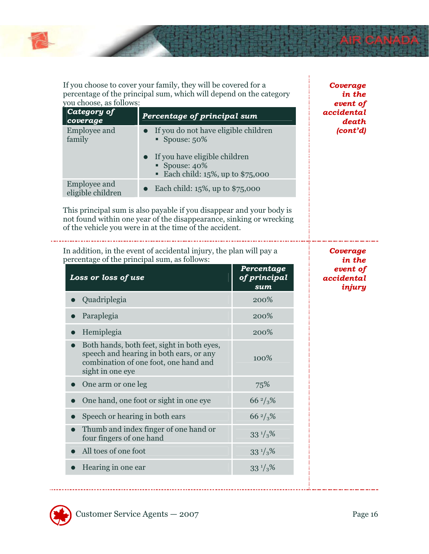

If you choose to cover your family, they will be covered for a percentage of the principal sum, which will depend on the category you choose, as follows:

| you choose, as follows:                  |                                                                                        | event of                       |
|------------------------------------------|----------------------------------------------------------------------------------------|--------------------------------|
| Category of<br>coverage                  | Percentage of principal sum                                                            | accidental<br>death            |
| <b>Employee and</b><br>family            | If you do not have eligible children<br>Spouse: $50\%$                                 | $\left( \text{cont'd} \right)$ |
|                                          | If you have eligible children<br>Spouse: 40%<br><b>Each child: 15%, up to \$75,000</b> |                                |
| <b>Employee and</b><br>eligible children | Each child: $15\%$ , up to \$75,000                                                    |                                |

This principal sum is also payable if you disappear and your body is not found within one year of the disappearance, sinking or wrecking of the vehicle you were in at the time of the accident.

In addition, in the event of accidental injury, the plan will pay a percentage of the principal sum, as follows:

| renaise of the principal bann, as follows<br>Loss or loss of use                                                                                   | Percentage<br>of principal<br>sum |
|----------------------------------------------------------------------------------------------------------------------------------------------------|-----------------------------------|
| Quadriplegia                                                                                                                                       | 200%                              |
| Paraplegia                                                                                                                                         | 200%                              |
| Hemiplegia                                                                                                                                         | 200%                              |
| Both hands, both feet, sight in both eyes,<br>speech and hearing in both ears, or any<br>combination of one foot, one hand and<br>sight in one eye | 100%                              |
| One arm or one leg                                                                                                                                 | 75%                               |
| One hand, one foot or sight in one eye                                                                                                             | $66\frac{2}{3}\%$                 |
| Speech or hearing in both ears                                                                                                                     | $66\frac{2}{3}\%$                 |
| Thumb and index finger of one hand or<br>four fingers of one hand                                                                                  | $33^{1/3}$ %                      |
| All toes of one foot                                                                                                                               | $33^{1/3}$ %                      |
| Hearing in one ear                                                                                                                                 | $33^{1/3}$ %                      |



*Coverage in the* 

*Coverage in the event of accidental injury*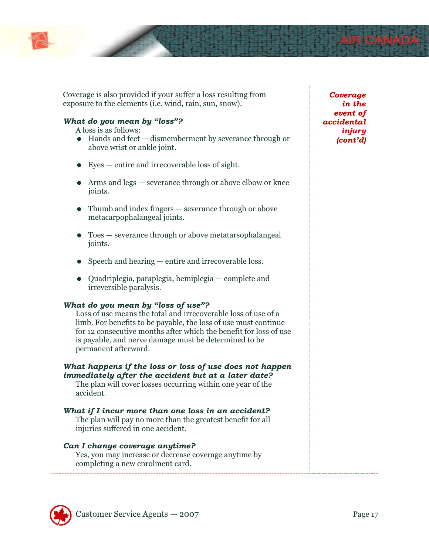

Coverage is also provided if your suffer a loss resulting from exposure to the elements (i.e. wind, rain, sun, snow).

### *What do you mean by "loss"?*

A loss is as follows:

- Hands and feet dismemberment by severance through or above wrist or ankle joint.
- Eyes entire and irrecoverable loss of sight.
- Arms and legs severance through or above elbow or knee joints.
- Thumb and index fingers severance through or above metacarpophalangeal joints.
- Toes severance through or above metatarsophalangeal joints.
- Speech and hearing entire and irrecoverable loss.
- Quadriplegia, paraplegia, hemiplegia complete and irreversible paralysis.

### *What do you mean by "loss of use"?*

Loss of use means the total and irrecoverable loss of use of a limb. For benefits to be payable, the loss of use must continue for 12 consecutive months after which the benefit for loss of use is payable, and nerve damage must be determined to be permanent afterward.

### *What happens if the loss or loss of use does not happen immediately after the accident but at a later date?*

The plan will cover losses occurring within one year of the accident.

### *What if I incur more than one loss in an accident?*

The plan will pay no more than the greatest benefit for all injuries suffered in one accident.

### *Can I change coverage anytime?*

Yes, you may increase or decrease coverage anytime by completing a new enrolment card.

*Coverage in the event of accidental injury (cont'd)* 

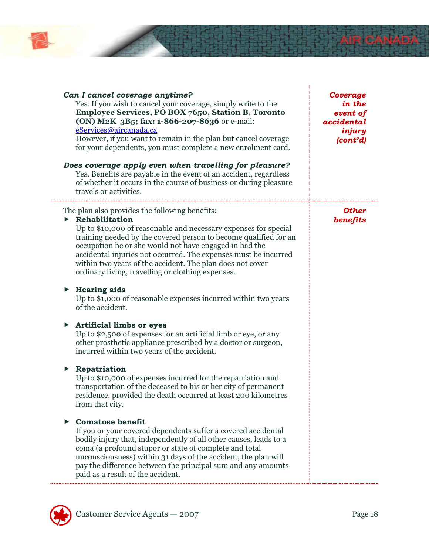

| Can I cancel coverage anytime?<br>Yes. If you wish to cancel your coverage, simply write to the<br>Employee Services, PO BOX 7650, Station B, Toronto<br>(ON) M2K 3B5; fax: 1-866-207-8636 or e-mail:<br>eServices@aircanada.ca<br>However, if you want to remain in the plan but cancel coverage<br>for your dependents, you must complete a new enrolment card.<br>Does coverage apply even when travelling for pleasure?<br>Yes. Benefits are payable in the event of an accident, regardless<br>of whether it occurs in the course of business or during pleasure<br>travels or activities. | Coverage<br>in the<br>event of<br>accidental<br>injury<br>(cont'd) |
|-------------------------------------------------------------------------------------------------------------------------------------------------------------------------------------------------------------------------------------------------------------------------------------------------------------------------------------------------------------------------------------------------------------------------------------------------------------------------------------------------------------------------------------------------------------------------------------------------|--------------------------------------------------------------------|
| The plan also provides the following benefits:<br>$\triangleright$ Rehabilitation<br>Up to \$10,000 of reasonable and necessary expenses for special<br>training needed by the covered person to become qualified for an<br>occupation he or she would not have engaged in had the<br>accidental injuries not occurred. The expenses must be incurred<br>within two years of the accident. The plan does not cover<br>ordinary living, travelling or clothing expenses.<br><b>Hearing aids</b><br>▶<br>Up to \$1,000 of reasonable expenses incurred within two years<br>of the accident.       | <b>Other</b><br>benefits                                           |
| <b>Artificial limbs or eyes</b><br>▶<br>Up to \$2,500 of expenses for an artificial limb or eye, or any<br>other prosthetic appliance prescribed by a doctor or surgeon,<br>incurred within two years of the accident.<br>Repatriation<br>▶<br>Up to \$10,000 of expenses incurred for the repatriation and<br>transportation of the deceased to his or her city of permanent<br>residence, provided the death occurred at least 200 kilometres                                                                                                                                                 |                                                                    |
| from that city.<br><b>Comatose benefit</b><br>If you or your covered dependents suffer a covered accidental<br>bodily injury that, independently of all other causes, leads to a<br>coma (a profound stupor or state of complete and total<br>unconsciousness) within 31 days of the accident, the plan will<br>pay the difference between the principal sum and any amounts<br>paid as a result of the accident.                                                                                                                                                                               |                                                                    |

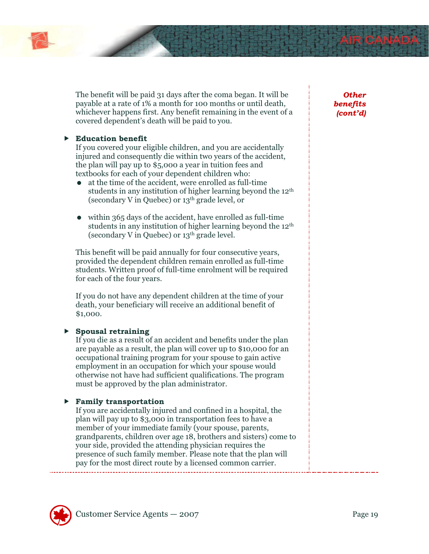

The benefit will be paid 31 days after the coma began. It will be payable at a rate of 1% a month for 100 months or until death, whichever happens first. Any benefit remaining in the event of a covered dependent's death will be paid to you.

### **Education benefit**

If you covered your eligible children, and you are accidentally injured and consequently die within two years of the accident, the plan will pay up to \$5,000 a year in tuition fees and textbooks for each of your dependent children who:

- at the time of the accident, were enrolled as full-time students in any institution of higher learning beyond the 12<sup>th</sup> (secondary V in Quebec) or 13th grade level, or
- within 365 days of the accident, have enrolled as full-time students in any institution of higher learning beyond the  $12<sup>th</sup>$ (secondary V in Quebec) or  $13<sup>th</sup>$  grade level.

This benefit will be paid annually for four consecutive years, provided the dependent children remain enrolled as full-time students. Written proof of full-time enrolment will be required for each of the four years.

If you do not have any dependent children at the time of your death, your beneficiary will receive an additional benefit of \$1,000.

### **Spousal retraining**

If you die as a result of an accident and benefits under the plan are payable as a result, the plan will cover up to \$10,000 for an occupational training program for your spouse to gain active employment in an occupation for which your spouse would otherwise not have had sufficient qualifications. The program must be approved by the plan administrator.

### **Family transportation**

If you are accidentally injured and confined in a hospital, the plan will pay up to \$3,000 in transportation fees to have a member of your immediate family (your spouse, parents, grandparents, children over age 18, brothers and sisters) come to your side, provided the attending physician requires the presence of such family member. Please note that the plan will pay for the most direct route by a licensed common carrier.

### *Other benefits (cont'd)*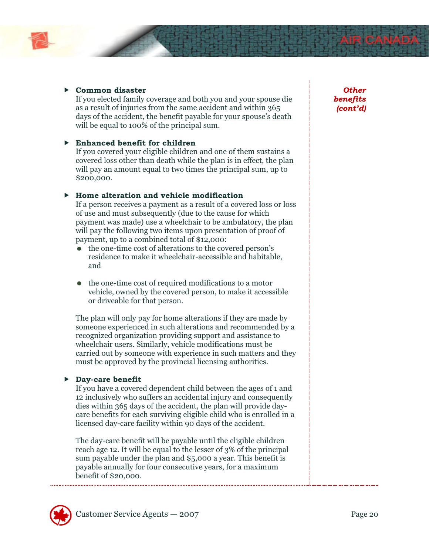

### **Common disaster**

If you elected family coverage and both you and your spouse die as a result of injuries from the same accident and within 365 days of the accident, the benefit payable for your spouse's death will be equal to 100% of the principal sum.

### **Enhanced benefit for children**

If you covered your eligible children and one of them sustains a covered loss other than death while the plan is in effect, the plan will pay an amount equal to two times the principal sum, up to \$200,000.

### **Home alteration and vehicle modification**

If a person receives a payment as a result of a covered loss or loss of use and must subsequently (due to the cause for which payment was made) use a wheelchair to be ambulatory, the plan will pay the following two items upon presentation of proof of payment, up to a combined total of \$12,000:

- the one-time cost of alterations to the covered person's residence to make it wheelchair-accessible and habitable, and
- the one-time cost of required modifications to a motor vehicle, owned by the covered person, to make it accessible or driveable for that person.

The plan will only pay for home alterations if they are made by someone experienced in such alterations and recommended by a recognized organization providing support and assistance to wheelchair users. Similarly, vehicle modifications must be carried out by someone with experience in such matters and they must be approved by the provincial licensing authorities.

### **Day-care benefit**

If you have a covered dependent child between the ages of 1 and 12 inclusively who suffers an accidental injury and consequently dies within 365 days of the accident, the plan will provide daycare benefits for each surviving eligible child who is enrolled in a licensed day-care facility within 90 days of the accident.

The day-care benefit will be payable until the eligible children reach age 12. It will be equal to the lesser of 3% of the principal sum payable under the plan and \$5,000 a year. This benefit is payable annually for four consecutive years, for a maximum benefit of \$20,000.

*Other benefits (cont'd)* 

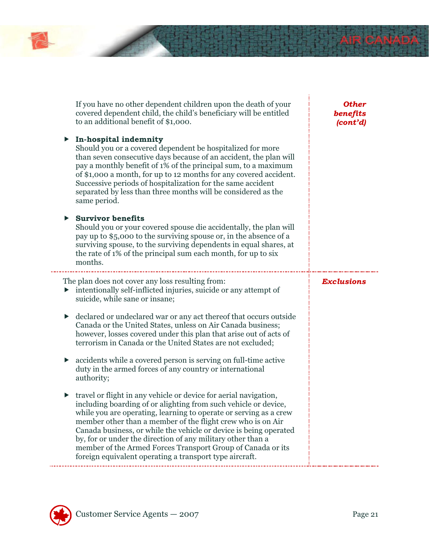| If you have no other dependent children upon the death of your<br>covered dependent child, the child's beneficiary will be entitled<br>to an additional benefit of \$1,000.                                                                                                                                                                                                                                                                                                                                                                                    | <b>Other</b><br>benefits<br>(cont'd) |
|----------------------------------------------------------------------------------------------------------------------------------------------------------------------------------------------------------------------------------------------------------------------------------------------------------------------------------------------------------------------------------------------------------------------------------------------------------------------------------------------------------------------------------------------------------------|--------------------------------------|
| In-hospital indemnity<br>▶<br>Should you or a covered dependent be hospitalized for more<br>than seven consecutive days because of an accident, the plan will<br>pay a monthly benefit of 1% of the principal sum, to a maximum<br>of \$1,000 a month, for up to 12 months for any covered accident.<br>Successive periods of hospitalization for the same accident<br>separated by less than three months will be considered as the<br>same period.                                                                                                           |                                      |
| <b>Survivor benefits</b><br>▶<br>Should you or your covered spouse die accidentally, the plan will<br>pay up to \$5,000 to the surviving spouse or, in the absence of a<br>surviving spouse, to the surviving dependents in equal shares, at<br>the rate of 1% of the principal sum each month, for up to six<br>months.                                                                                                                                                                                                                                       |                                      |
| The plan does not cover any loss resulting from:<br>intentionally self-inflicted injuries, suicide or any attempt of<br>suicide, while sane or insane;                                                                                                                                                                                                                                                                                                                                                                                                         | <b>Exclusions</b>                    |
| declared or undeclared war or any act thereof that occurs outside<br>▶<br>Canada or the United States, unless on Air Canada business;<br>however, losses covered under this plan that arise out of acts of<br>terrorism in Canada or the United States are not excluded;                                                                                                                                                                                                                                                                                       |                                      |
| accidents while a covered person is serving on full-time active<br>▶<br>duty in the armed forces of any country or international<br>authority;                                                                                                                                                                                                                                                                                                                                                                                                                 |                                      |
| travel or flight in any vehicle or device for aerial navigation,<br>$\blacktriangleright$<br>including boarding of or alighting from such vehicle or device,<br>while you are operating, learning to operate or serving as a crew<br>member other than a member of the flight crew who is on Air<br>Canada business, or while the vehicle or device is being operated<br>by, for or under the direction of any military other than a<br>member of the Armed Forces Transport Group of Canada or its<br>foreign equivalent operating a transport type aircraft. |                                      |

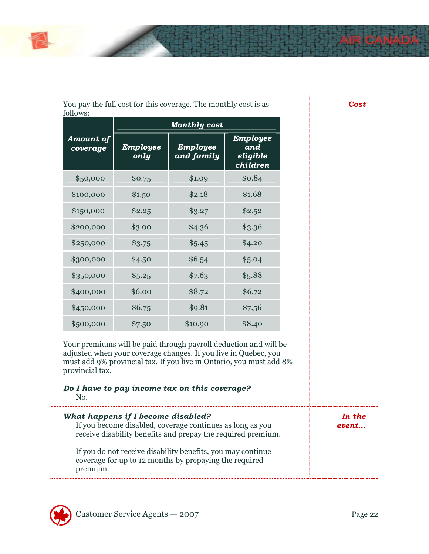

| You pay the full cost for this coverage. The monthly cost is as |  |  |
|-----------------------------------------------------------------|--|--|
| follows:                                                        |  |  |

|                       | <b>Monthly cost</b> |                               |                                                |
|-----------------------|---------------------|-------------------------------|------------------------------------------------|
| Amount of<br>coverage | Employee<br>only    | Employee<br><u>and family</u> | Employee<br>and<br><u>eligible</u><br>children |
| \$50,000              | \$0.75              | \$1.09                        | \$0.84                                         |
| \$100,000             | \$1.50              | \$2.18                        | \$1.68                                         |
| \$150,000             | \$2.25              | \$3.27                        | \$2.52                                         |
| \$200,000             | \$3.00              | \$4.36                        | \$3.36                                         |
| \$250,000             | \$3.75              | \$5.45                        | \$4.20                                         |
| \$300,000             | \$4.50              | \$6.54                        | \$5.04                                         |
| \$350,000             | \$5.25              | \$7.63                        | \$5.88                                         |
| \$400,000             | \$6.00              | \$8.72                        | \$6.72                                         |
| \$450,000             | \$6.75              | \$9.81                        | \$7.56                                         |
| \$500,000             | \$7.50              | \$10.90                       | \$8.40                                         |

Your premiums will be paid through payroll deduction and will be adjusted when your coverage changes. If you live in Quebec, you must add 9% provincial tax. If you live in Ontario, you must add 8% provincial tax.

| Do I have to pay income tax on this coverage?<br>No.                                                                                                            |                 |
|-----------------------------------------------------------------------------------------------------------------------------------------------------------------|-----------------|
| What happens if I become disabled?<br>If you become disabled, coverage continues as long as you<br>receive disability benefits and prepay the required premium. | In the<br>event |
| If you do not receive disability benefits, you may continue<br>coverage for up to 12 months by prepaying the required<br>premium.                               |                 |



*Cost*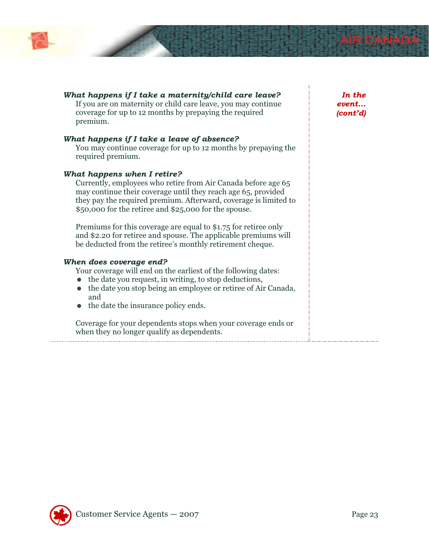

| What happens if I take a maternity/child care leave?<br>If you are on maternity or child care leave, you may continue<br>coverage for up to 12 months by prepaying the required<br>premium.                                                                                                | In the<br>event<br>(cont'd) |
|--------------------------------------------------------------------------------------------------------------------------------------------------------------------------------------------------------------------------------------------------------------------------------------------|-----------------------------|
| What happens if I take a leave of absence?<br>You may continue coverage for up to 12 months by prepaying the<br>required premium.                                                                                                                                                          |                             |
| What happens when I retire?<br>Currently, employees who retire from Air Canada before age 65<br>may continue their coverage until they reach age 65, provided<br>they pay the required premium. Afterward, coverage is limited to<br>\$50,000 for the retiree and \$25,000 for the spouse. |                             |
| Premiums for this coverage are equal to \$1.75 for retiree only<br>and \$2.20 for retiree and spouse. The applicable premiums will<br>be deducted from the retiree's monthly retirement cheque.                                                                                            |                             |
| When does coverage end?<br>Your coverage will end on the earliest of the following dates:<br>the date you request, in writing, to stop deductions,<br>the date you stop being an employee or retiree of Air Canada,<br>and<br>the date the insurance policy ends.                          |                             |
| Coverage for your dependents stops when your coverage ends or<br>when they no longer qualify as dependents.                                                                                                                                                                                |                             |

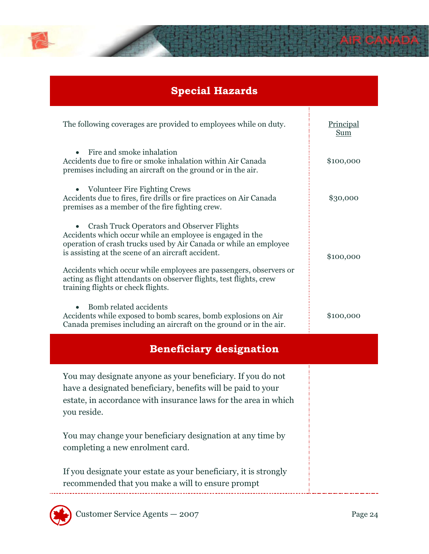

# **Special Hazards**

| The following coverages are provided to employees while on duty.                                                                                                                                                                                                                                                                                                                                                             | Principal<br><b>Sum</b> |
|------------------------------------------------------------------------------------------------------------------------------------------------------------------------------------------------------------------------------------------------------------------------------------------------------------------------------------------------------------------------------------------------------------------------------|-------------------------|
| Fire and smoke inhalation<br>$\bullet$<br>Accidents due to fire or smoke inhalation within Air Canada<br>premises including an aircraft on the ground or in the air.                                                                                                                                                                                                                                                         | \$100,000               |
| • Volunteer Fire Fighting Crews<br>Accidents due to fires, fire drills or fire practices on Air Canada<br>premises as a member of the fire fighting crew.                                                                                                                                                                                                                                                                    | \$30,000                |
| <b>Crash Truck Operators and Observer Flights</b><br>Accidents which occur while an employee is engaged in the<br>operation of crash trucks used by Air Canada or while an employee<br>is assisting at the scene of an aircraft accident.<br>Accidents which occur while employees are passengers, observers or<br>acting as flight attendants on observer flights, test flights, crew<br>training flights or check flights. | \$100,000               |
| Bomb related accidents<br>Accidents while exposed to bomb scares, bomb explosions on Air<br>Canada premises including an aircraft on the ground or in the air.                                                                                                                                                                                                                                                               | \$100,000               |
|                                                                                                                                                                                                                                                                                                                                                                                                                              |                         |
| <b>Beneficiary designation</b>                                                                                                                                                                                                                                                                                                                                                                                               |                         |
| You may designate anyone as your beneficiary. If you do not<br>have a designated beneficiary, benefits will be paid to your<br>estate, in accordance with insurance laws for the area in which<br>you reside.                                                                                                                                                                                                                |                         |
| You may change your beneficiary designation at any time by<br>completing a new enrolment card.<br>If you designate your estate as your beneficiary, it is strongly                                                                                                                                                                                                                                                           |                         |

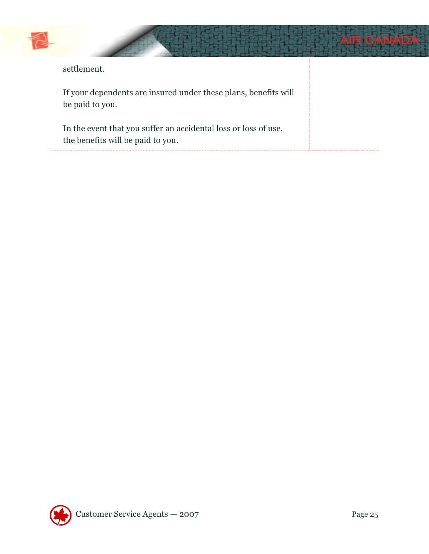

| settlement. |
|-------------|
|-------------|

If your dependents are insured under these plans, benefits will be paid to you.

In the event that you suffer an accidental loss or loss of use, the benefits will be paid to you. لصائد والالحاد

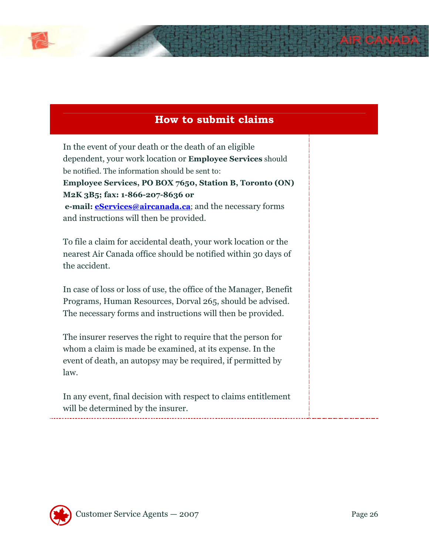

In the event of your death or the death of an eligible dependent, your work location or **Employee Services** should be notified. The information should be sent to: **Employee Services, PO BOX 7650, Station B, Toronto (ON) M2K 3B5; fax: 1-866-207-8636 or e-mail: <u>eServices@aircanada.ca</u>**; and the necessary forms and instructions will then be provided.

To file a claim for accidental death, your work location or the nearest Air Canada office should be notified within 30 days of the accident.

In case of loss or loss of use, the office of the Manager, Benefit Programs, Human Resources, Dorval 265, should be advised. The necessary forms and instructions will then be provided.

The insurer reserves the right to require that the person for whom a claim is made be examined, at its expense. In the event of death, an autopsy may be required, if permitted by law.

In any event, final decision with respect to claims entitlement will be determined by the insurer.